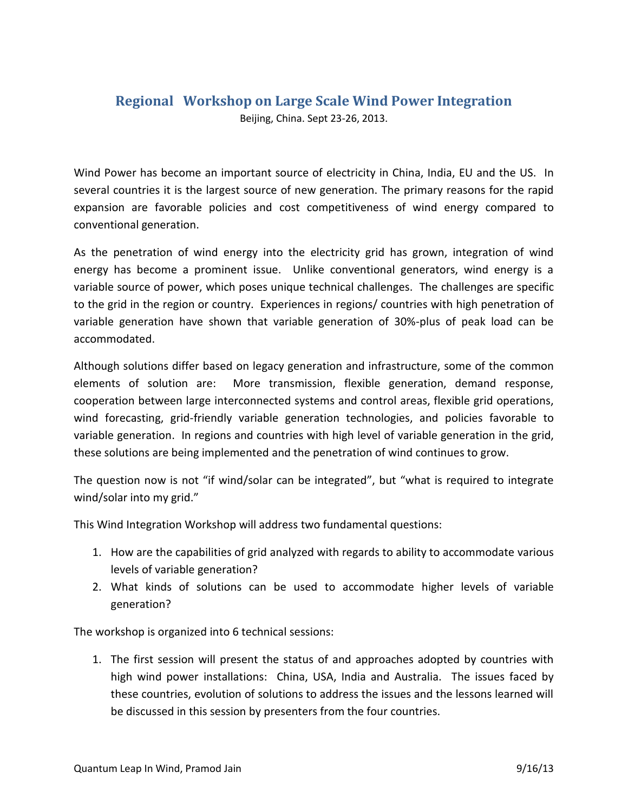## **Regional Workshop on Large Scale Wind Power Integration**

Beijing, China. Sept 23-26, 2013.

Wind Power has become an important source of electricity in China, India, EU and the US. In several countries it is the largest source of new generation. The primary reasons for the rapid expansion are favorable policies and cost competitiveness of wind energy compared to conventional generation.

As the penetration of wind energy into the electricity grid has grown, integration of wind energy has become a prominent issue. Unlike conventional generators, wind energy is a variable source of power, which poses unique technical challenges. The challenges are specific to the grid in the region or country. Experiences in regions/ countries with high penetration of variable generation have shown that variable generation of 30%-plus of peak load can be accommodated.

Although solutions differ based on legacy generation and infrastructure, some of the common elements of solution are: More transmission, flexible generation, demand response, cooperation between large interconnected systems and control areas, flexible grid operations, wind forecasting, grid-friendly variable generation technologies, and policies favorable to variable generation. In regions and countries with high level of variable generation in the grid, these solutions are being implemented and the penetration of wind continues to grow.

The question now is not "if wind/solar can be integrated", but "what is required to integrate wind/solar into my grid."

This Wind Integration Workshop will address two fundamental questions:

- 1. How are the capabilities of grid analyzed with regards to ability to accommodate various levels of variable generation?
- 2. What kinds of solutions can be used to accommodate higher levels of variable generation?

The workshop is organized into 6 technical sessions:

1. The first session will present the status of and approaches adopted by countries with high wind power installations: China, USA, India and Australia. The issues faced by these countries, evolution of solutions to address the issues and the lessons learned will be discussed in this session by presenters from the four countries.